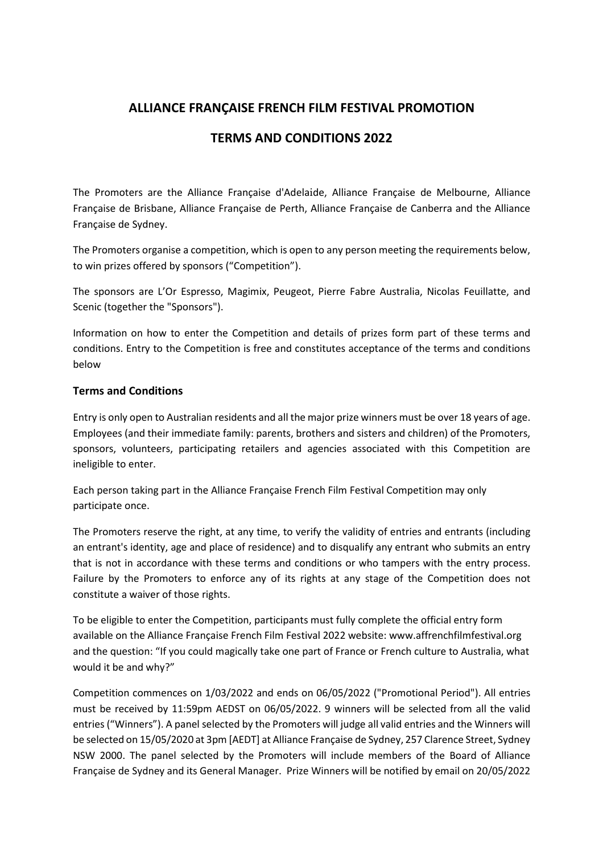# **ALLIANCE FRANÇAISE FRENCH FILM FESTIVAL PROMOTION**

# **TERMS AND CONDITIONS 2022**

The Promoters are the Alliance Française d'Adelaide, Alliance Française de Melbourne, Alliance Française de Brisbane, Alliance Française de Perth, Alliance Française de Canberra and the Alliance Française de Sydney.

The Promoters organise a competition, which is open to any person meeting the requirements below, to win prizes offered by sponsors ("Competition").

The sponsors are L'Or Espresso, Magimix, Peugeot, Pierre Fabre Australia, Nicolas Feuillatte, and Scenic (together the "Sponsors").

Information on how to enter the Competition and details of prizes form part of these terms and conditions. Entry to the Competition is free and constitutes acceptance of the terms and conditions below

### **Terms and Conditions**

Entry is only open to Australian residents and all the major prize winners must be over 18 years of age. Employees (and their immediate family: parents, brothers and sisters and children) of the Promoters, sponsors, volunteers, participating retailers and agencies associated with this Competition are ineligible to enter.

Each person taking part in the Alliance Française French Film Festival Competition may only participate once.

The Promoters reserve the right, at any time, to verify the validity of entries and entrants (including an entrant's identity, age and place of residence) and to disqualify any entrant who submits an entry that is not in accordance with these terms and conditions or who tampers with the entry process. Failure by the Promoters to enforce any of its rights at any stage of the Competition does not constitute a waiver of those rights.

To be eligible to enter the Competition, participants must fully complete the official entry form available on the Alliance Française French Film Festival 2022 website: www.affrenchfilmfestival.org and the question: "If you could magically take one part of France or French culture to Australia, what would it be and why?"

Competition commences on 1/03/2022 and ends on 06/05/2022 ("Promotional Period"). All entries must be received by 11:59pm AEDST on 06/05/2022. 9 winners will be selected from all the valid entries ("Winners"). A panel selected by the Promoters will judge all valid entries and the Winners will be selected on 15/05/2020 at 3pm [AEDT] at Alliance Française de Sydney, 257 Clarence Street, Sydney NSW 2000. The panel selected by the Promoters will include members of the Board of Alliance Française de Sydney and its General Manager. Prize Winners will be notified by email on 20/05/2022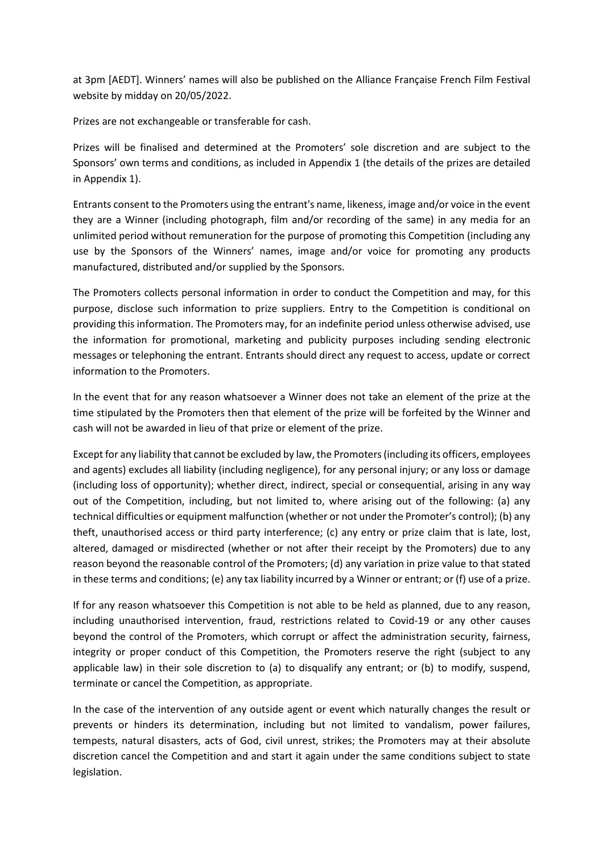at 3pm [AEDT]. Winners' names will also be published on the Alliance Française French Film Festival website by midday on 20/05/2022.

Prizes are not exchangeable or transferable for cash.

Prizes will be finalised and determined at the Promoters' sole discretion and are subject to the Sponsors' own terms and conditions, as included in Appendix 1 (the details of the prizes are detailed in Appendix 1).

Entrants consent to the Promoters using the entrant's name, likeness, image and/or voice in the event they are a Winner (including photograph, film and/or recording of the same) in any media for an unlimited period without remuneration for the purpose of promoting this Competition (including any use by the Sponsors of the Winners' names, image and/or voice for promoting any products manufactured, distributed and/or supplied by the Sponsors.

The Promoters collects personal information in order to conduct the Competition and may, for this purpose, disclose such information to prize suppliers. Entry to the Competition is conditional on providing this information. The Promoters may, for an indefinite period unless otherwise advised, use the information for promotional, marketing and publicity purposes including sending electronic messages or telephoning the entrant. Entrants should direct any request to access, update or correct information to the Promoters.

In the event that for any reason whatsoever a Winner does not take an element of the prize at the time stipulated by the Promoters then that element of the prize will be forfeited by the Winner and cash will not be awarded in lieu of that prize or element of the prize.

Except for any liability that cannot be excluded by law, the Promoters (including its officers, employees and agents) excludes all liability (including negligence), for any personal injury; or any loss or damage (including loss of opportunity); whether direct, indirect, special or consequential, arising in any way out of the Competition, including, but not limited to, where arising out of the following: (a) any technical difficulties or equipment malfunction (whether or not under the Promoter's control); (b) any theft, unauthorised access or third party interference; (c) any entry or prize claim that is late, lost, altered, damaged or misdirected (whether or not after their receipt by the Promoters) due to any reason beyond the reasonable control of the Promoters; (d) any variation in prize value to that stated in these terms and conditions; (e) any tax liability incurred by a Winner or entrant; or (f) use of a prize.

If for any reason whatsoever this Competition is not able to be held as planned, due to any reason, including unauthorised intervention, fraud, restrictions related to Covid-19 or any other causes beyond the control of the Promoters, which corrupt or affect the administration security, fairness, integrity or proper conduct of this Competition, the Promoters reserve the right (subject to any applicable law) in their sole discretion to (a) to disqualify any entrant; or (b) to modify, suspend, terminate or cancel the Competition, as appropriate.

In the case of the intervention of any outside agent or event which naturally changes the result or prevents or hinders its determination, including but not limited to vandalism, power failures, tempests, natural disasters, acts of God, civil unrest, strikes; the Promoters may at their absolute discretion cancel the Competition and and start it again under the same conditions subject to state legislation.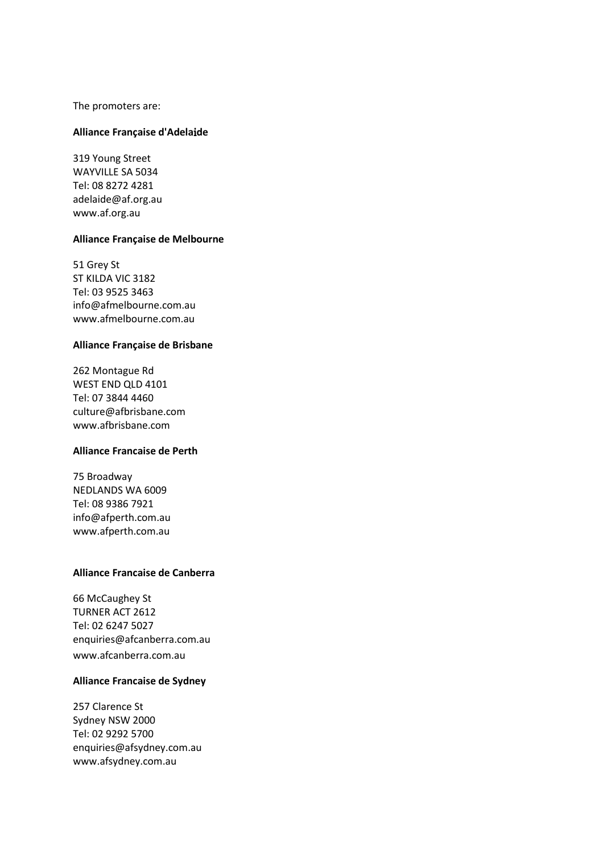The promoters are:

#### **Alliance Française d'Adela**i**de**

319 Young Street WAYVILLE SA 5034 Tel: 08 8272 4281 adelaide@af.org.au www.af.org.au

#### **Alliance Française de Melbourne**

51 Grey St ST KILDA VIC 3182 Tel: 03 9525 3463 info@afmelbourne.com.au www.afmelbourne.com.au

#### **Alliance Française de Brisbane**

262 Montague Rd WEST END QLD 4101 Tel: 07 3844 4460 culture@afbrisbane.com www.afbrisbane.com

#### **Alliance Francaise de Perth**

75 Broadway NEDLANDS WA 6009 Tel: 08 9386 7921 info@afperth.com.au www.afperth.com.au

#### **Alliance Francaise de Canberra**

66 McCaughey St TURNER ACT 2612 Tel: 02 6247 5027 enquiries@afcanberra.com.au www.afcanberra.com.au

#### **Alliance Francaise de Sydney**

257 Clarence St Sydney NSW 2000 Tel: 02 9292 5700 enquiries@afsydney.com.au www.afsydney.com.au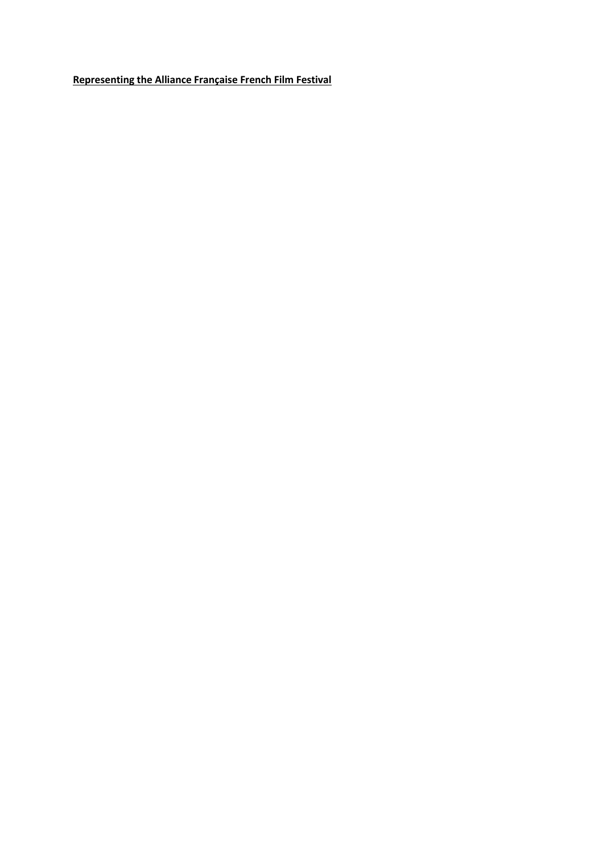**Representing the Alliance Française French Film Festival**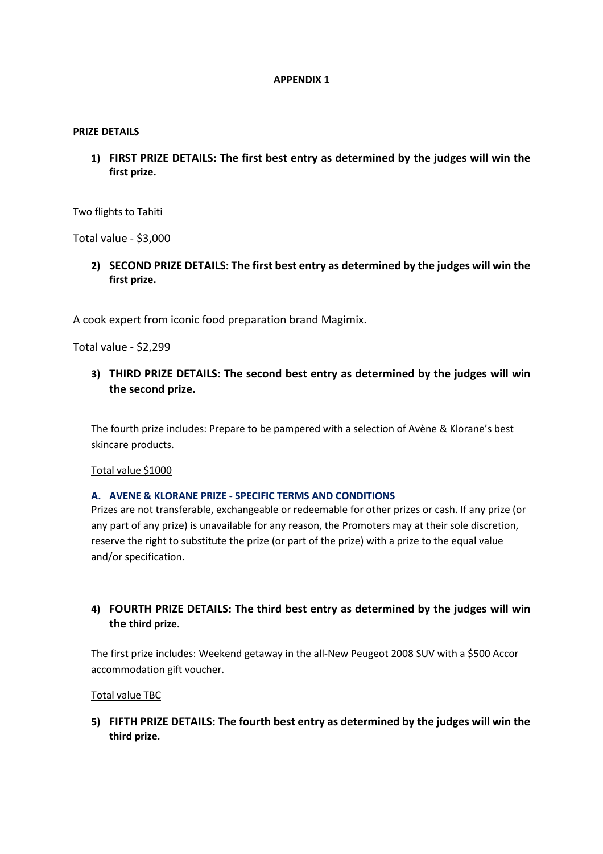#### **APPENDIX 1**

#### **PRIZE DETAILS**

**1) FIRST PRIZE DETAILS: The first best entry as determined by the judges will win the first prize.** 

Two flights to Tahiti

Total value - \$3,000

**2) SECOND PRIZE DETAILS: The first best entry as determined by the judges will win the first prize.** 

A cook expert from iconic food preparation brand Magimix.

Total value - \$2,299

**3) THIRD PRIZE DETAILS: The second best entry as determined by the judges will win the second prize.**

The fourth prize includes: Prepare to be pampered with a selection of Avène & Klorane's best skincare products.

Total value \$1000

#### **A. AVENE & KLORANE PRIZE - SPECIFIC TERMS AND CONDITIONS**

Prizes are not transferable, exchangeable or redeemable for other prizes or cash. If any prize (or any part of any prize) is unavailable for any reason, the Promoters may at their sole discretion, reserve the right to substitute the prize (or part of the prize) with a prize to the equal value and/or specification.

# **4) FOURTH PRIZE DETAILS: The third best entry as determined by the judges will win the third prize.**

The first prize includes: Weekend getaway in the all-New Peugeot 2008 SUV with a \$500 Accor accommodation gift voucher.

Total value TBC

**5) FIFTH PRIZE DETAILS: The fourth best entry as determined by the judges will win the third prize.**